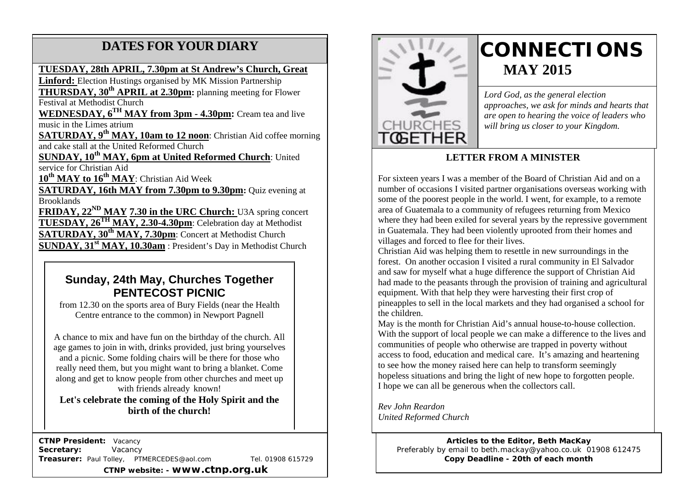# **DATES FOR YOUR DIARY**

### **TUESDAY, 28th APRIL, 7.30pm at St Andrew's Church, Great**

**Linford:** Election Hustings organised by MK Mission Partnership

 Festival at Methodist Church **THURSDAY, 30th APRIL at 2.30pm:** planning meeting for Flower

 music in the Limes atrium **WEDNESDAY, 6TH MAY from 3pm - 4.30pm:** Cream tea and live

**SATURDAY, 9th MAY, 10am to 12 noon**: Christian Aid coffee morning and cake stall at the United Reformed Church

**SUNDAY, 10<sup>th</sup> MAY, 6pm at United Reformed Church:** United service for Christian Aid

**10th MAY to 16th MAY**: Christian Aid Week

**SATURDAY, 16th MAY from 7.30pm to 9.30pm:** Quiz evening at Brooklands

**FRIDAY, 22<sup>ND</sup> MAY 7.30 in the URC Church:** U3A spring concert **TUESDAY, 26TH MAY, 2.30-4.30pm**: Celebration day at Methodist **SATURDAY, 30th MAY, 7.30pm**: Concert at Methodist Church **SUNDAY, 31<sup>st</sup> MAY, 10.30am** : President's Day in Methodist Church

# **Sunday, 24th May, Churches Together PENTECOST PICNIC**

from 12.30 on the sports area of Bury Fields (near the Health Centre entrance to the common) in Newport Pagnell

A chance to mix and have fun on the birthday of the church. All age games to join in with, drinks provided, just bring yourselves and a picnic. Some folding chairs will be there for those who really need them, but you might want to bring a blanket. Come along and get to know people from other churches and meet up with friends already known!

**Let's celebrate the coming of the Holy Spirit and the birth of the church!**

 **CTNP President:** Vacancy **Secretary:** Vacancy **Treasurer:** Paul Tolley, PTMERCEDES@aol.com Tel. 01908 615729 **CTNP website: - www.ctnp.org.uk**



# **CONNECTIONS MAY 2015**

*Lord God, as the general election approaches, we ask for minds and hearts that are open to hearing the voice of leaders who will bring us closer to your Kingdom.*

# **LETTER FROM A MINISTER**

For sixteen years I was a member of the Board of Christian Aid and on a number of occasions I visited partner organisations overseas working with some of the poorest people in the world. I went, for example, to a remote area of Guatemala to a community of refugees returning from Mexico where they had been exiled for several years by the repressive government in Guatemala. They had been violently uprooted from their homes and villages and forced to flee for their lives.

Christian Aid was helping them to resettle in new surroundings in the forest. On another occasion I visited a rural community in El Salvador and saw for myself what a huge difference the support of Christian Aid had made to the peasants through the provision of training and agricultural equipment. With that help they were harvesting their first crop of pineapples to sell in the local markets and they had organised a school for the children.

May is the month for Christian Aid's annual house-to-house collection. With the support of local people we can make a difference to the lives and communities of people who otherwise are trapped in poverty without access to food, education and medical care. It's amazing and heartening to see how the money raised here can help to transform seemingly hopeless situations and bring the light of new hope to forgotten people. I hope we can all be generous when the collectors call.

*Rev John Reardon United Reformed Church*

> **Articles to the Editor, Beth MacKay** Preferably by email to beth.mackay@yahoo.co.uk 01908 612475 **Copy Deadline - 20th of each month**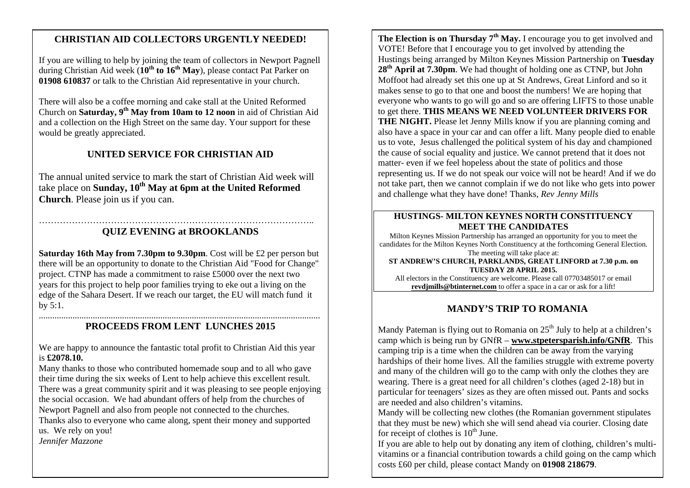# mee**CHRISTIAN AID COLLECTORS URGENTLY NEEDED!**

If you are willing to help by joining the team of collectors in Newport Pagnell during Christian Aid week (**10th to 16th May**), please contact Pat Parker on **01908 610837** or talk to the Christian Aid representative in your church.

There will also be a coffee morning and cake stall at the United Reformed Church on **Saturday, 9th May from 10am to 12 noon** in aid of Christian Aid and a collection on the High Street on the same day. Your support for these would be greatly appreciated.

# **UNITED SERVICE FOR CHRISTIAN AID**

The annual united service to mark the start of Christian Aid week will take place on **Sunday, 10th May at 6pm at the United Reformed Church**. Please join us if you can.

#### ……………………………………………………………………………….. **QUIZ EVENING at BROOKLANDS**

**Saturday 16th May from 7.30pm to 9.30pm**. Cost will be £2 per person but there will be an opportunity to donate to the Christian Aid "Food for Change" project. CTNP has made a commitment to raise £5000 over the next two years for this project to help poor families trying to eke out a living on the edge of the Sahara Desert. If we reach our target, the EU will match fund it by 5:1.

#### ............................................................................................................................. **PROCEEDS FROM LENT LUNCHES 2015**

We are happy to announce the fantastic total profit to Christian Aid this year is **£2078.10.**

Many thanks to those who contributed homemade soup and to all who gave their time during the six weeks of Lent to help achieve this excellent result. There was a great community spirit and it was pleasing to see people enjoying the social occasion. We had abundant offers of help from the churches of Newport Pagnell and also from people not connected to the churches. Thanks also to everyone who came along, spent their money and supported us. We rely on you! *Jennifer Mazzone*

**The Election is on Thursday 7th May.** I encourage you to get involved and VOTE! Before that I encourage you to get involved by attending the Hustings being arranged by Milton Keynes Mission Partnership on **Tuesday 28th April at 7.30pm**. We had thought of holding one as CTNP, but John Moffoot had already set this one up at St Andrews, Great Linford and so it makes sense to go to that one and boost the numbers! We are hoping that everyone who wants to go will go and so are offering LIFTS to those unable to get there. **THIS MEANS WE NEED VOLUNTEER DRIVERS FOR THE NIGHT.** Please let Jenny Mills know if you are planning coming and also have a space in your car and can offer a lift. Many people died to enable us to vote, Jesus challenged the political system of his day and championed the cause of social equality and justice. We cannot pretend that it does not matter- even if we feel hopeless about the state of politics and those representing us. If we do not speak our voice will not be heard! And if we do not take part, then we cannot complain if we do not like who gets into power and challenge what they have done! Thanks, *Rev Jenny Mills*

#### **HUSTINGS- MILTON KEYNES NORTH CONSTITUENCY MEET THE CANDIDATES**

Milton Keynes Mission Partnership has arranged an opportunity for you to meet the candidates for the Milton Keynes North Constituency at the forthcoming General Election. The meeting will take place at:

**ST ANDREW'S CHURCH, PARKLANDS, GREAT LINFORD at 7.30 p.m. on TUESDAY 28 APRIL 2015.**

All electors in the Constituency are welcome. Please call 07703485017 or email **revdjmills@btinternet.com** to offer a space in a car or ask for a lift!

# **MANDY'S TRIP TO ROMANIA**

Mandy Pateman is flying out to Romania on  $25<sup>th</sup>$  July to help at a children's camp which is being run by GNfR – **www.stpetersparish.info/GNfR**. This camping trip is a time when the children can be away from the varying hardships of their home lives. All the families struggle with extreme poverty and many of the children will go to the camp with only the clothes they are wearing. There is a great need for all children's clothes (aged 2-18) but in particular for teenagers' sizes as they are often missed out. Pants and socks are needed and also children's vitamins.

Mandy will be collecting new clothes (the Romanian government stipulates that they must be new) which she will send ahead via courier. Closing date for receipt of clothes is  $10<sup>th</sup>$  June.

If you are able to help out by donating any item of clothing, children's multivitamins or a financial contribution towards a child going on the camp which costs £60 per child, please contact Mandy on **01908 218679**.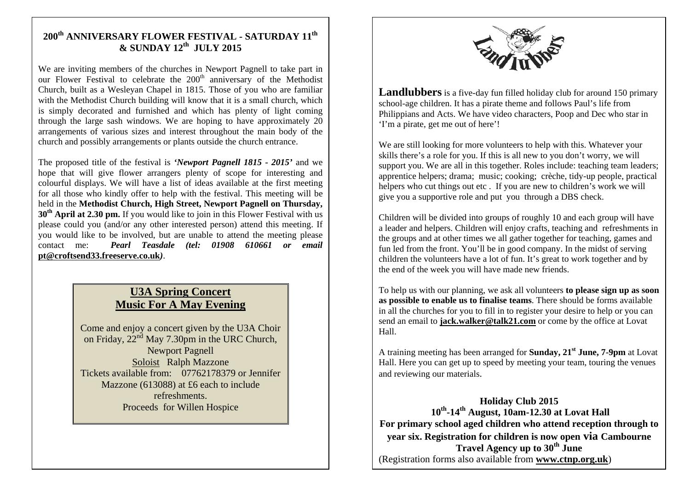# **200th ANNIVERSARY FLOWER FESTIVAL - SATURDAY 11th & SUNDAY 12th JULY 2015**

We are inviting members of the churches in Newport Pagnell to take part in our Flower Festival to celebrate the  $200<sup>th</sup>$  anniversary of the Methodist Church, built as a Wesleyan Chapel in 1815. Those of you who are familiar with the Methodist Church building will know that it is a small church, which is simply decorated and furnished and which has plenty of light coming through the large sash windows. We are hoping to have approximately 20 arrangements of various sizes and interest throughout the main body of the church and possibly arrangements or plants outside the church entrance.

The proposed title of the festival is *'Newport Pagnell 1815 - 2015'* and we hope that will give flower arrangers plenty of scope for interesting and colourful displays. We will have a list of ideas available at the first meeting for all those who kindly offer to help with the festival. This meeting will be held in the **Methodist Church, High Street, Newport Pagnell on Thursday, 30th April at 2.30 pm.** If you would like to join in this Flower Festival with us please could you (and/or any other interested person) attend this meeting. If you would like to be involved, but are unable to attend the meeting please contact me: *Pearl Teasdale (tel: 01908 610661 or email*  **pt@croftsend33.freeserve.co.uk***)*.

# **U3A Spring Concert Music For A May Evening**

Come and enjoy a concert given by the U3A Choir on Friday,  $22<sup>nd</sup>$  May 7.30pm in the URC Church, Newport Pagnell Soloist Ralph Mazzone Tickets available from: 07762178379 or Jennifer Mazzone (613088) at £6 each to include refreshments. Proceeds for Willen Hospice



**Landlubbers** is a five-day fun filled holiday club for around 150 primary school-age children. It has a pirate theme and follows Paul's life from Philippians and Acts. We have video characters, Poop and Dec who star in 'I'm a pirate, get me out of here'!

We are still looking for more volunteers to help with this. Whatever your skills there's a role for you. If this is all new to you don't worry, we will support you. We are all in this together. Roles include: teaching team leaders; apprentice helpers; drama; music; cooking; crèche, tidy-up people, practical helpers who cut things out etc. If you are new to children's work we will give you a supportive role and put you through a DBS check.

Children will be divided into groups of roughly 10 and each group will have a leader and helpers. Children will enjoy crafts, teaching and refreshments in the groups and at other times we all gather together for teaching, games and fun led from the front. You'll be in good company. In the midst of serving children the volunteers have a lot of fun. It's great to work together and by the end of the week you will have made new friends.

To help us with our planning, we ask all volunteers **to please sign up as soon as possible to enable us to finalise teams**. There should be forms available in all the churches for you to fill in to register your desire to help or you can send an email to **jack.walker@talk21.com** or come by the office at Lovat Hall.

A training meeting has been arranged for **Sunday, 21st June, 7-9pm** at Lovat Hall. Here you can get up to speed by meeting your team, touring the venues and reviewing our materials.

**Holiday Club 2015 10th-14th August, 10am-12.30 at Lovat Hall For primary school aged children who attend reception through to year six. Registration for children is now open via Cambourne Travel Agency up to 30th June** (Registration forms also available from **www.ctnp.org.uk**)